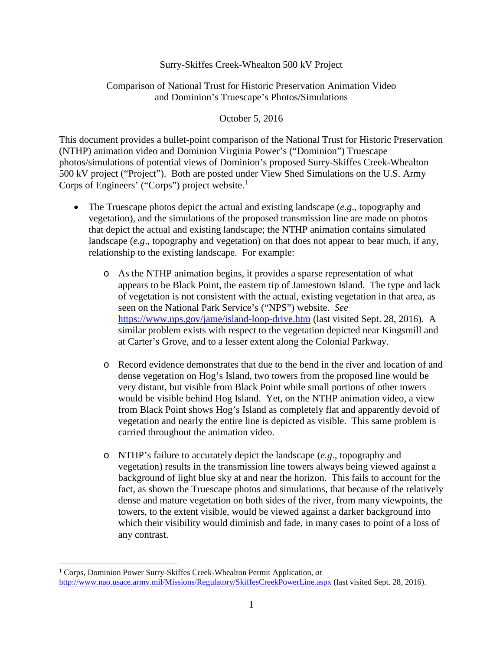## Surry-Skiffes Creek-Whealton 500 kV Project

## Comparison of National Trust for Historic Preservation Animation Video and Dominion's Truescape's Photos/Simulations

## October 5, 2016

This document provides a bullet-point comparison of the National Trust for Historic Preservation (NTHP) animation video and Dominion Virginia Power's ("Dominion") Truescape photos/simulations of potential views of Dominion's proposed Surry-Skiffes Creek-Whealton 500 kV project ("Project"). Both are posted under View Shed Simulations on the U.S. Army Corps of Engineers' ("Corps") project website.<sup>[1](#page-0-0)</sup>

- The Truescape photos depict the actual and existing landscape (*e.g*., topography and vegetation), and the simulations of the proposed transmission line are made on photos that depict the actual and existing landscape; the NTHP animation contains simulated landscape (*e.g*., topography and vegetation) on that does not appear to bear much, if any, relationship to the existing landscape. For example:
	- o As the NTHP animation begins, it provides a sparse representation of what appears to be Black Point, the eastern tip of Jamestown Island. The type and lack of vegetation is not consistent with the actual, existing vegetation in that area, as seen on the National Park Service's ("NPS") website. *See*  [https://www.nps.gov/jame/island-loop-drive.htm](https://urldefense.proofpoint.com/v2/url?u=https-3A__www.nps.gov_jame_island-2Dloop-2Ddrive.htm&d=DQMGaQ&c=jxhwBfk-KSV6FFIot0PGng&r=WNTcXPV3rfU9kB4TFygegZtweKgP8Ei1wMPnyrCGag0&m=zvrM3X0s-rQQLwBV2P-Dr41BsZ4YpgWukoefX-kxmu4&s=wzeCssCNKt-89r6t489avNzXYgrSNM0PFM3rN8rYvaE&e=) (last visited Sept. 28, 2016). A similar problem exists with respect to the vegetation depicted near Kingsmill and at Carter's Grove, and to a lesser extent along the Colonial Parkway.
	- o Record evidence demonstrates that due to the bend in the river and location of and dense vegetation on Hog's Island, two towers from the proposed line would be very distant, but visible from Black Point while small portions of other towers would be visible behind Hog Island. Yet, on the NTHP animation video, a view from Black Point shows Hog's Island as completely flat and apparently devoid of vegetation and nearly the entire line is depicted as visible. This same problem is carried throughout the animation video.
	- o NTHP's failure to accurately depict the landscape (*e.g*., topography and vegetation) results in the transmission line towers always being viewed against a background of light blue sky at and near the horizon. This fails to account for the fact, as shown the Truescape photos and simulations, that because of the relatively dense and mature vegetation on both sides of the river, from many viewpoints, the towers, to the extent visible, would be viewed against a darker background into which their visibility would diminish and fade, in many cases to point of a loss of any contrast.

<span id="page-0-0"></span> <sup>1</sup> Corps, Dominion Power Surry-Skiffes Creek-Whealton Permit Application, *at* <http://www.nao.usace.army.mil/Missions/Regulatory/SkiffesCreekPowerLine.aspx> (last visited Sept. 28, 2016).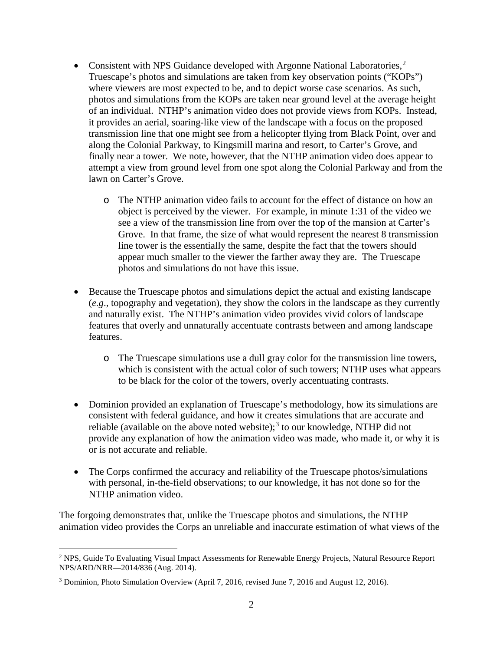- Consistent with NPS Guidance developed with Argonne National Laboratories, $2$ Truescape's photos and simulations are taken from key observation points ("KOPs") where viewers are most expected to be, and to depict worse case scenarios. As such, photos and simulations from the KOPs are taken near ground level at the average height of an individual. NTHP's animation video does not provide views from KOPs. Instead, it provides an aerial, soaring-like view of the landscape with a focus on the proposed transmission line that one might see from a helicopter flying from Black Point, over and along the Colonial Parkway, to Kingsmill marina and resort, to Carter's Grove, and finally near a tower. We note, however, that the NTHP animation video does appear to attempt a view from ground level from one spot along the Colonial Parkway and from the lawn on Carter's Grove.
	- o The NTHP animation video fails to account for the effect of distance on how an object is perceived by the viewer. For example, in minute 1:31 of the video we see a view of the transmission line from over the top of the mansion at Carter's Grove. In that frame, the size of what would represent the nearest 8 transmission line tower is the essentially the same, despite the fact that the towers should appear much smaller to the viewer the farther away they are. The Truescape photos and simulations do not have this issue.
- Because the Truescape photos and simulations depict the actual and existing landscape (*e.g*., topography and vegetation), they show the colors in the landscape as they currently and naturally exist. The NTHP's animation video provides vivid colors of landscape features that overly and unnaturally accentuate contrasts between and among landscape features.
	- o The Truescape simulations use a dull gray color for the transmission line towers, which is consistent with the actual color of such towers; NTHP uses what appears to be black for the color of the towers, overly accentuating contrasts.
- Dominion provided an explanation of Truescape's methodology, how its simulations are consistent with federal guidance, and how it creates simulations that are accurate and reliable (available on the above noted website);<sup>[3](#page-1-1)</sup> to our knowledge, NTHP did not provide any explanation of how the animation video was made, who made it, or why it is or is not accurate and reliable.
- The Corps confirmed the accuracy and reliability of the Truescape photos/simulations with personal, in-the-field observations; to our knowledge, it has not done so for the NTHP animation video.

The forgoing demonstrates that, unlike the Truescape photos and simulations, the NTHP animation video provides the Corps an unreliable and inaccurate estimation of what views of the

<span id="page-1-0"></span><sup>&</sup>lt;sup>2</sup> NPS, Guide To Evaluating Visual Impact Assessments for Renewable Energy Projects, Natural Resource Report NPS/ARD/NRR—2014/836 (Aug. 2014).

<span id="page-1-1"></span><sup>3</sup> Dominion, Photo Simulation Overview (April 7, 2016, revised June 7, 2016 and August 12, 2016).